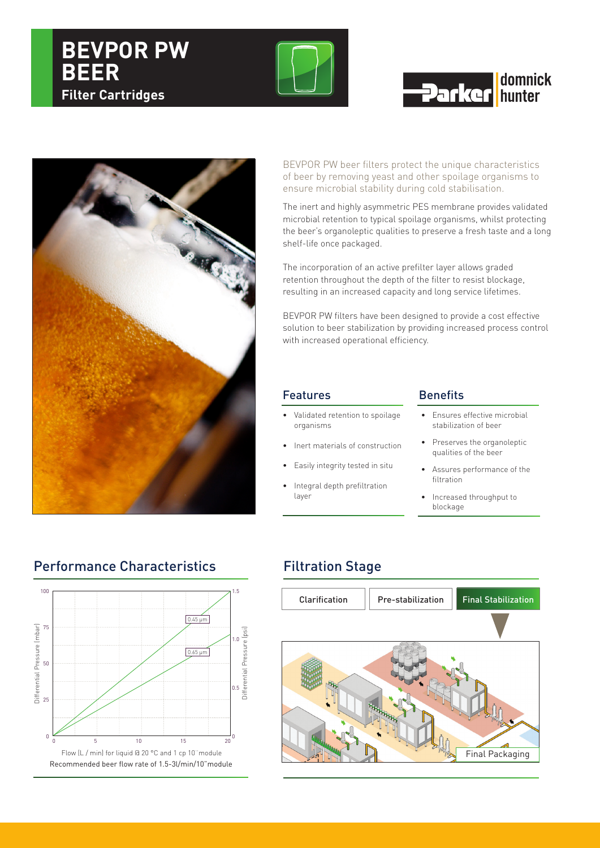# **BEVPOR PW Filter Cartridges**



# **domnick Darker** hunter



BEVPOR PW beer filters protect the unique characteristics of beer by removing yeast and other spoilage organisms to ensure microbial stability during cold stabilisation.

The inert and highly asymmetric PES membrane provides validated microbial retention to typical spoilage organisms, whilst protecting the beer's organoleptic qualities to preserve a fresh taste and a long shelf-life once packaged.

The incorporation of an active prefilter layer allows graded retention throughout the depth of the filter to resist blockage, resulting in an increased capacity and long service lifetimes.

BEVPOR PW filters have been designed to provide a cost effective solution to beer stabilization by providing increased process control with increased operational efficiency.

### Features **Benefits**

- Validated retention to spoilage organisms
- Inert materials of construction
- Easily integrity tested in situ
- Integral depth prefiltration layer

- Ensures effective microbial stabilization of beer
- Preserves the organoleptic qualities of the beer
- • Assures performance of the filtration
- Increased throughput to blockage

## Performance Characteristics Filtration Stage